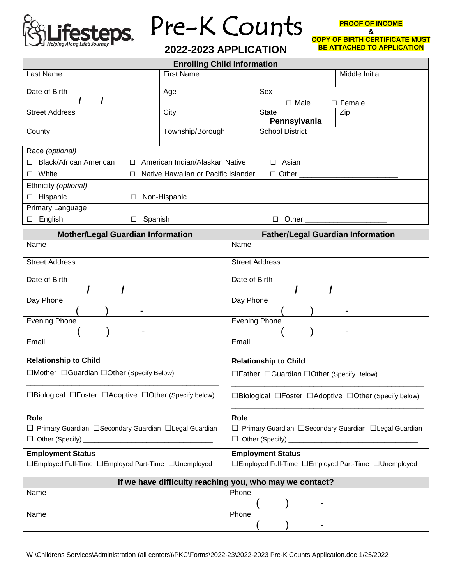

## esteps Pre-K Counts

**2022-2023 APPLICATION**

**PROOF OF INCOME & COPY OF BIRTH CERTIFICATE MUST** 

**BE ATTACHED TO APPLICATION** 

| <b>Enrolling Child Information</b>                       |                                     |                                                          |                          |  |                |  |
|----------------------------------------------------------|-------------------------------------|----------------------------------------------------------|--------------------------|--|----------------|--|
| Last Name                                                | <b>First Name</b>                   |                                                          |                          |  | Middle Initial |  |
| Date of Birth                                            | Age                                 |                                                          | Sex                      |  |                |  |
| $\prime$<br>$\prime$                                     |                                     |                                                          | $\square$ Male           |  | $\Box$ Female  |  |
| <b>Street Address</b>                                    | City                                |                                                          | <b>State</b>             |  | Zip            |  |
|                                                          |                                     |                                                          | Pennsylvania             |  |                |  |
| County                                                   | Township/Borough                    |                                                          | <b>School District</b>   |  |                |  |
| Race (optional)                                          |                                     |                                                          |                          |  |                |  |
| □ Black/African American                                 | □ American Indian/Alaskan Native    |                                                          | $\Box$ Asian             |  |                |  |
| White<br>$\Box$<br>□                                     | Native Hawaiian or Pacific Islander |                                                          | $\Box$ Other $\Box$      |  |                |  |
| Ethnicity (optional)                                     |                                     |                                                          |                          |  |                |  |
| □ Hispanic<br>□ Non-Hispanic                             |                                     |                                                          |                          |  |                |  |
| Primary Language                                         |                                     |                                                          |                          |  |                |  |
| English<br>$\square$ Spanish<br>$\Box$                   | D Other _________________________   |                                                          |                          |  |                |  |
| <b>Mother/Legal Guardian Information</b>                 |                                     | <b>Father/Legal Guardian Information</b>                 |                          |  |                |  |
| Name                                                     |                                     | Name                                                     |                          |  |                |  |
| <b>Street Address</b>                                    |                                     | <b>Street Address</b>                                    |                          |  |                |  |
| Date of Birth                                            |                                     | Date of Birth                                            |                          |  |                |  |
|                                                          |                                     |                                                          |                          |  |                |  |
| Day Phone                                                |                                     | Day Phone                                                |                          |  |                |  |
|                                                          |                                     |                                                          |                          |  |                |  |
| <b>Evening Phone</b>                                     |                                     | <b>Evening Phone</b>                                     |                          |  |                |  |
|                                                          |                                     |                                                          |                          |  |                |  |
| Email<br>Email                                           |                                     |                                                          |                          |  |                |  |
| <b>Relationship to Child</b>                             |                                     | <b>Relationship to Child</b>                             |                          |  |                |  |
| □Mother □Guardian □Other (Specify Below)                 |                                     | □ Father □ Guardian □ Other (Specify Below)              |                          |  |                |  |
| □Biological □Foster □Adoptive □Other (Specify below)     |                                     | □Biological □Foster □Adoptive □Other (Specify below)     |                          |  |                |  |
| Role                                                     |                                     | Role                                                     |                          |  |                |  |
| □ Primary Guardian □ Secondary Guardian □ Legal Guardian |                                     | □ Primary Guardian □ Secondary Guardian □ Legal Guardian |                          |  |                |  |
|                                                          |                                     |                                                          |                          |  |                |  |
| <b>Employment Status</b>                                 |                                     |                                                          | <b>Employment Status</b> |  |                |  |
| □Employed Full-Time □Employed Part-Time □Unemployed      |                                     | □Employed Full-Time □Employed Part-Time □Unemployed      |                          |  |                |  |

| If we have difficulty reaching you, who may we contact? |                          |  |  |  |  |
|---------------------------------------------------------|--------------------------|--|--|--|--|
| Name                                                    | Phone                    |  |  |  |  |
|                                                         | $\overline{\phantom{0}}$ |  |  |  |  |
| Name                                                    | Phone                    |  |  |  |  |
|                                                         | -                        |  |  |  |  |